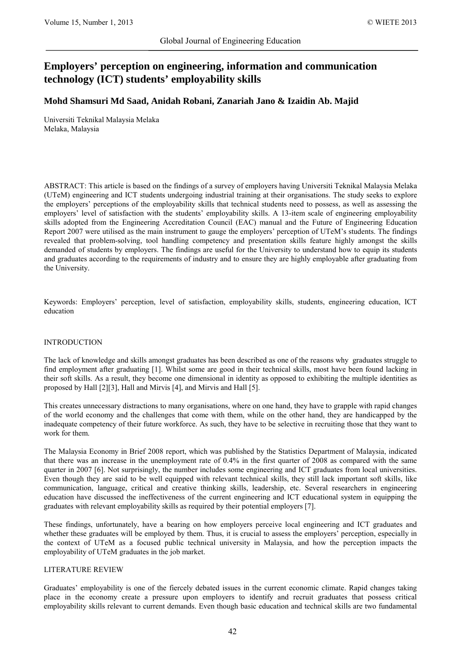# **Employers' perception on engineering, information and communication technology (ICT) students' employability skills**

# **Mohd Shamsuri Md Saad, Anidah Robani, Zanariah Jano & Izaidin Ab. Majid**

Universiti Teknikal Malaysia Melaka Melaka, Malaysia

ABSTRACT: This article is based on the findings of a survey of employers having Universiti Teknikal Malaysia Melaka (UTeM) engineering and ICT students undergoing industrial training at their organisations. The study seeks to explore the employers' perceptions of the employability skills that technical students need to possess, as well as assessing the employers' level of satisfaction with the students' employability skills. A 13-item scale of engineering employability skills adopted from the Engineering Accreditation Council (EAC) manual and the Future of Engineering Education Report 2007 were utilised as the main instrument to gauge the employers' perception of UTeM's students. The findings revealed that problem-solving, tool handling competency and presentation skills feature highly amongst the skills demanded of students by employers. The findings are useful for the University to understand how to equip its students and graduates according to the requirements of industry and to ensure they are highly employable after graduating from the University.

Keywords: Employers' perception, level of satisfaction, employability skills, students, engineering education, ICT education

## INTRODUCTION

The lack of knowledge and skills amongst graduates has been described as one of the reasons why graduates struggle to find employment after graduating [1]. Whilst some are good in their technical skills, most have been found lacking in their soft skills. As a result, they become one dimensional in identity as opposed to exhibiting the multiple identities as proposed by Hall [2][3], Hall and Mirvis [4], and Mirvis and Hall [5].

This creates unnecessary distractions to many organisations, where on one hand, they have to grapple with rapid changes of the world economy and the challenges that come with them, while on the other hand, they are handicapped by the inadequate competency of their future workforce. As such, they have to be selective in recruiting those that they want to work for them.

The Malaysia Economy in Brief 2008 report, which was published by the Statistics Department of Malaysia, indicated that there was an increase in the unemployment rate of 0.4% in the first quarter of 2008 as compared with the same quarter in 2007 [6]. Not surprisingly, the number includes some engineering and ICT graduates from local universities. Even though they are said to be well equipped with relevant technical skills, they still lack important soft skills, like communication, language, critical and creative thinking skills, leadership, etc. Several researchers in engineering education have discussed the ineffectiveness of the current engineering and ICT educational system in equipping the graduates with relevant employability skills as required by their potential employers [7].

These findings, unfortunately, have a bearing on how employers perceive local engineering and ICT graduates and whether these graduates will be employed by them. Thus, it is crucial to assess the employers' perception, especially in the context of UTeM as a focused public technical university in Malaysia, and how the perception impacts the employability of UTeM graduates in the job market.

## LITERATURE REVIEW

Graduates' employability is one of the fiercely debated issues in the current economic climate. Rapid changes taking place in the economy create a pressure upon employers to identify and recruit graduates that possess critical employability skills relevant to current demands. Even though basic education and technical skills are two fundamental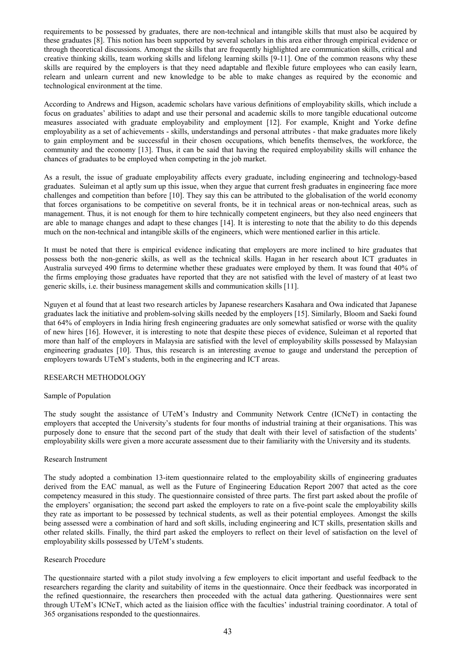requirements to be possessed by graduates, there are non-technical and intangible skills that must also be acquired by these graduates [8]. This notion has been supported by several scholars in this area either through empirical evidence or through theoretical discussions. Amongst the skills that are frequently highlighted are communication skills, critical and creative thinking skills, team working skills and lifelong learning skills [9-11]. One of the common reasons why these skills are required by the employers is that they need adaptable and flexible future employees who can easily learn, relearn and unlearn current and new knowledge to be able to make changes as required by the economic and technological environment at the time.

According to Andrews and Higson, academic scholars have various definitions of employability skills, which include a focus on graduates' abilities to adapt and use their personal and academic skills to more tangible educational outcome measures associated with graduate employability and employment [12]. For example, Knight and Yorke define employability as a set of achievements - skills, understandings and personal attributes - that make graduates more likely to gain employment and be successful in their chosen occupations, which benefits themselves, the workforce, the community and the economy [13]. Thus, it can be said that having the required employability skills will enhance the chances of graduates to be employed when competing in the job market.

As a result, the issue of graduate employability affects every graduate, including engineering and technology-based graduates. Suleiman et al aptly sum up this issue, when they argue that current fresh graduates in engineering face more challenges and competition than before [10]. They say this can be attributed to the globalisation of the world economy that forces organisations to be competitive on several fronts, be it in technical areas or non-technical areas, such as management. Thus, it is not enough for them to hire technically competent engineers, but they also need engineers that are able to manage changes and adapt to these changes [14]. It is interesting to note that the ability to do this depends much on the non-technical and intangible skills of the engineers, which were mentioned earlier in this article.

It must be noted that there is empirical evidence indicating that employers are more inclined to hire graduates that possess both the non-generic skills, as well as the technical skills. Hagan in her research about ICT graduates in Australia surveyed 490 firms to determine whether these graduates were employed by them. It was found that 40% of the firms employing those graduates have reported that they are not satisfied with the level of mastery of at least two generic skills, i.e. their business management skills and communication skills [11].

Nguyen et al found that at least two research articles by Japanese researchers Kasahara and Owa indicated that Japanese graduates lack the initiative and problem-solving skills needed by the employers [15]. Similarly, Bloom and Saeki found that 64% of employers in India hiring fresh engineering graduates are only somewhat satisfied or worse with the quality of new hires [16]. However, it is interesting to note that despite these pieces of evidence, Suleiman et al reported that more than half of the employers in Malaysia are satisfied with the level of employability skills possessed by Malaysian engineering graduates [10]. Thus, this research is an interesting avenue to gauge and understand the perception of employers towards UTeM's students, both in the engineering and ICT areas.

## RESEARCH METHODOLOGY

#### Sample of Population

The study sought the assistance of UTeM's Industry and Community Network Centre (ICNeT) in contacting the employers that accepted the University's students for four months of industrial training at their organisations. This was purposely done to ensure that the second part of the study that dealt with their level of satisfaction of the students' employability skills were given a more accurate assessment due to their familiarity with the University and its students.

## Research Instrument

The study adopted a combination 13-item questionnaire related to the employability skills of engineering graduates derived from the EAC manual, as well as the Future of Engineering Education Report 2007 that acted as the core competency measured in this study. The questionnaire consisted of three parts. The first part asked about the profile of the employers' organisation; the second part asked the employers to rate on a five-point scale the employability skills they rate as important to be possessed by technical students, as well as their potential employees. Amongst the skills being assessed were a combination of hard and soft skills, including engineering and ICT skills, presentation skills and other related skills. Finally, the third part asked the employers to reflect on their level of satisfaction on the level of employability skills possessed by UTeM's students.

## Research Procedure

The questionnaire started with a pilot study involving a few employers to elicit important and useful feedback to the researchers regarding the clarity and suitability of items in the questionnaire. Once their feedback was incorporated in the refined questionnaire, the researchers then proceeded with the actual data gathering. Questionnaires were sent through UTeM's ICNeT, which acted as the liaision office with the faculties' industrial training coordinator. A total of 365 organisations responded to the questionnaires.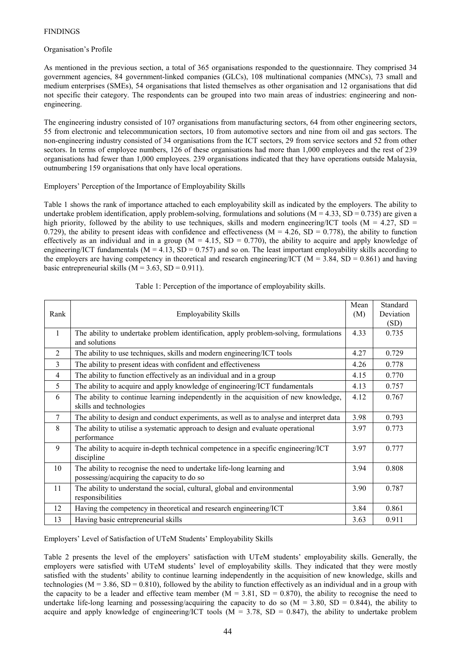## FINDINGS

## Organisation's Profile

As mentioned in the previous section, a total of 365 organisations responded to the questionnaire. They comprised 34 government agencies, 84 government-linked companies (GLCs), 108 multinational companies (MNCs), 73 small and medium enterprises (SMEs), 54 organisations that listed themselves as other organisation and 12 organisations that did not specific their category. The respondents can be grouped into two main areas of industries: engineering and nonengineering.

The engineering industry consisted of 107 organisations from manufacturing sectors, 64 from other engineering sectors, 55 from electronic and telecommunication sectors, 10 from automotive sectors and nine from oil and gas sectors. The non-engineering industry consisted of 34 organisations from the ICT sectors, 29 from service sectors and 52 from other sectors. In terms of employee numbers, 126 of these organisations had more than 1,000 employees and the rest of 239 organisations had fewer than 1,000 employees. 239 organisations indicated that they have operations outside Malaysia, outnumbering 159 organisations that only have local operations.

## Employers' Perception of the Importance of Employability Skills

Table 1 shows the rank of importance attached to each employability skill as indicated by the employers. The ability to undertake problem identification, apply problem-solving, formulations and solutions ( $M = 4.33$ ,  $SD = 0.735$ ) are given a high priority, followed by the ability to use techniques, skills and modern engineering/ICT tools ( $M = 4.27$ , SD = 0.729), the ability to present ideas with confidence and effectiveness ( $M = 4.26$ , SD = 0.778), the ability to function effectively as an individual and in a group ( $M = 4.15$ ,  $SD = 0.770$ ), the ability to acquire and apply knowledge of engineering/ICT fundamentals ( $M = 4.13$ ,  $SD = 0.757$ ) and so on. The least important employability skills according to the employers are having competency in theoretical and research engineering/ICT ( $M = 3.84$ , SD = 0.861) and having basic entrepreneurial skills ( $M = 3.63$ ,  $SD = 0.911$ ).

| Rank           | <b>Employability Skills</b>                                                                                         | Mean<br>(M) | Standard<br>Deviation |
|----------------|---------------------------------------------------------------------------------------------------------------------|-------------|-----------------------|
|                |                                                                                                                     |             | (SD)                  |
| $\mathbf{1}$   | The ability to undertake problem identification, apply problem-solving, formulations<br>and solutions               |             | 0.735                 |
| $\overline{2}$ | The ability to use techniques, skills and modern engineering/ICT tools                                              | 4.27        | 0.729                 |
| 3              | The ability to present ideas with confident and effectiveness                                                       | 4.26        | 0.778                 |
| $\overline{4}$ | The ability to function effectively as an individual and in a group                                                 | 4.15        | 0.770                 |
| 5              | The ability to acquire and apply knowledge of engineering/ICT fundamentals                                          | 4.13        | 0.757                 |
| 6              | The ability to continue learning independently in the acquisition of new knowledge,<br>skills and technologies      | 4.12        | 0.767                 |
| $\tau$         | The ability to design and conduct experiments, as well as to analyse and interpret data                             | 3.98        | 0.793                 |
| 8              | The ability to utilise a systematic approach to design and evaluate operational<br>performance                      | 3.97        | 0.773                 |
| 9              | The ability to acquire in-depth technical competence in a specific engineering/ICT<br>discipline                    | 3.97        | 0.777                 |
| 10             | The ability to recognise the need to undertake life-long learning and<br>possessing/acquiring the capacity to do so | 3.94        | 0.808                 |
| 11             | The ability to understand the social, cultural, global and environmental<br>responsibilities                        | 3.90        | 0.787                 |
| 12             | Having the competency in theoretical and research engineering/ICT                                                   | 3.84        | 0.861                 |
| 13             | Having basic entrepreneurial skills                                                                                 | 3.63        | 0.911                 |

## Table 1: Perception of the importance of employability skills.

Employers' Level of Satisfaction of UTeM Students' Employability Skills

Table 2 presents the level of the employers' satisfaction with UTeM students' employability skills. Generally, the employers were satisfied with UTeM students' level of employability skills. They indicated that they were mostly satisfied with the students' ability to continue learning independently in the acquisition of new knowledge, skills and technologies ( $M = 3.86$ ,  $SD = 0.810$ ), followed by the ability to function effectively as an individual and in a group with the capacity to be a leader and effective team member ( $M = 3.81$ , SD = 0.870), the ability to recognise the need to undertake life-long learning and possessing/acquiring the capacity to do so  $(M = 3.80, SD = 0.844)$ , the ability to acquire and apply knowledge of engineering/ICT tools ( $M = 3.78$ , SD = 0.847), the ability to undertake problem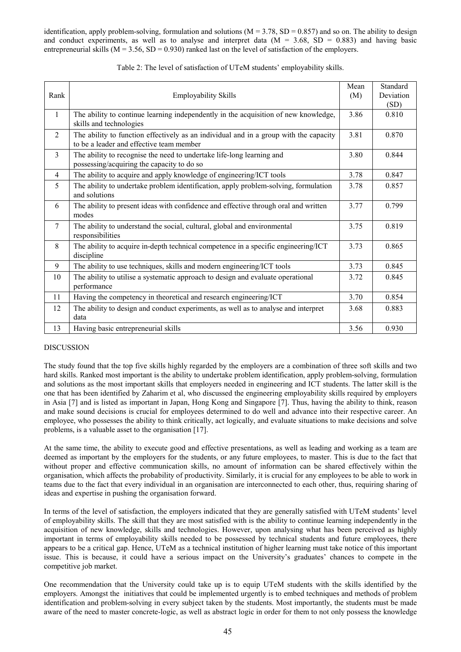identification, apply problem-solving, formulation and solutions  $(M = 3.78, SD = 0.857)$  and so on. The ability to design and conduct experiments, as well as to analyse and interpret data  $(M = 3.68, SD = 0.883)$  and having basic entrepreneurial skills ( $M = 3.56$ ,  $SD = 0.930$ ) ranked last on the level of satisfaction of the employers.

|                 |                                                                                                                                   | Mean<br>(M) | Standard          |
|-----------------|-----------------------------------------------------------------------------------------------------------------------------------|-------------|-------------------|
| Rank            | <b>Employability Skills</b>                                                                                                       |             | Deviation<br>(SD) |
| $\mathbf{1}$    | The ability to continue learning independently in the acquisition of new knowledge,<br>skills and technologies                    | 3.86        | 0.810             |
| 2               | The ability to function effectively as an individual and in a group with the capacity<br>to be a leader and effective team member | 3.81        | 0.870             |
| 3               | The ability to recognise the need to undertake life-long learning and<br>possessing/acquiring the capacity to do so               | 3.80        | 0.844             |
| 4               | The ability to acquire and apply knowledge of engineering/ICT tools                                                               | 3.78        | 0.847             |
| 5               | The ability to undertake problem identification, apply problem-solving, formulation<br>and solutions                              | 3.78        | 0.857             |
| 6               | The ability to present ideas with confidence and effective through oral and written<br>modes                                      | 3.77        | 0.799             |
| $7\phantom{.0}$ | The ability to understand the social, cultural, global and environmental<br>responsibilities                                      | 3.75        | 0.819             |
| 8               | The ability to acquire in-depth technical competence in a specific engineering/ICT<br>discipline                                  | 3.73        | 0.865             |
| 9               | The ability to use techniques, skills and modern engineering/ICT tools                                                            | 3.73        | 0.845             |
| 10              | The ability to utilise a systematic approach to design and evaluate operational<br>performance                                    | 3.72        | 0.845             |
| 11              | Having the competency in theoretical and research engineering/ICT                                                                 | 3.70        | 0.854             |
| 12              | The ability to design and conduct experiments, as well as to analyse and interpret<br>data                                        | 3.68        | 0.883             |
| 13              | Having basic entrepreneurial skills                                                                                               | 3.56        | 0.930             |

| Table 2: The level of satisfaction of UTeM students' employability skills. |  |
|----------------------------------------------------------------------------|--|
|----------------------------------------------------------------------------|--|

## DISCUSSION

The study found that the top five skills highly regarded by the employers are a combination of three soft skills and two hard skills. Ranked most important is the ability to undertake problem identification, apply problem-solving, formulation and solutions as the most important skills that employers needed in engineering and ICT students. The latter skill is the one that has been identified by Zaharim et al, who discussed the engineering employability skills required by employers in Asia [7] and is listed as important in Japan, Hong Kong and Singapore [7]. Thus, having the ability to think, reason and make sound decisions is crucial for employees determined to do well and advance into their respective career. An employee, who possesses the ability to think critically, act logically, and evaluate situations to make decisions and solve problems, is a valuable asset to the organisation [17].

At the same time, the ability to execute good and effective presentations, as well as leading and working as a team are deemed as important by the employers for the students, or any future employees, to master. This is due to the fact that without proper and effective communication skills, no amount of information can be shared effectively within the organisation, which affects the probability of productivity. Similarly, it is crucial for any employees to be able to work in teams due to the fact that every individual in an organisation are interconnected to each other, thus, requiring sharing of ideas and expertise in pushing the organisation forward.

In terms of the level of satisfaction, the employers indicated that they are generally satisfied with UTeM students' level of employability skills. The skill that they are most satisfied with is the ability to continue learning independently in the acquisition of new knowledge, skills and technologies. However, upon analysing what has been perceived as highly important in terms of employability skills needed to be possessed by technical students and future employees, there appears to be a critical gap. Hence, UTeM as a technical institution of higher learning must take notice of this important issue. This is because, it could have a serious impact on the University's graduates' chances to compete in the competitive job market.

One recommendation that the University could take up is to equip UTeM students with the skills identified by the employers. Amongst the initiatives that could be implemented urgently is to embed techniques and methods of problem identification and problem-solving in every subject taken by the students. Most importantly, the students must be made aware of the need to master concrete-logic, as well as abstract logic in order for them to not only possess the knowledge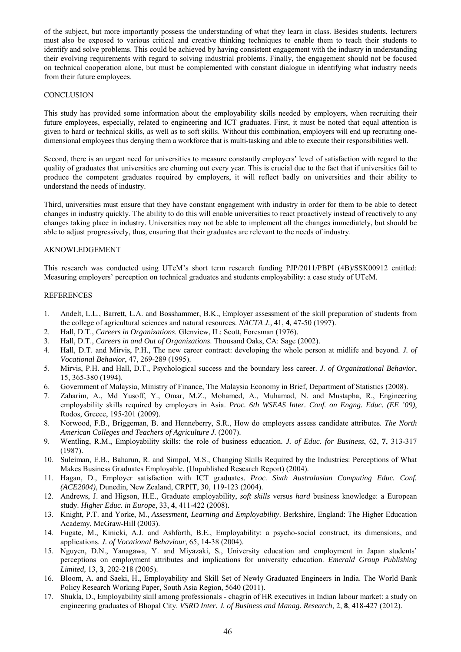of the subject, but more importantly possess the understanding of what they learn in class. Besides students, lecturers must also be exposed to various critical and creative thinking techniques to enable them to teach their students to identify and solve problems. This could be achieved by having consistent engagement with the industry in understanding their evolving requirements with regard to solving industrial problems. Finally, the engagement should not be focused on technical cooperation alone, but must be complemented with constant dialogue in identifying what industry needs from their future employees.

#### **CONCLUSION**

This study has provided some information about the employability skills needed by employers, when recruiting their future employees, especially, related to engineering and ICT graduates. First, it must be noted that equal attention is given to hard or technical skills, as well as to soft skills. Without this combination, employers will end up recruiting onedimensional employees thus denying them a workforce that is multi-tasking and able to execute their responsibilities well.

Second, there is an urgent need for universities to measure constantly employers' level of satisfaction with regard to the quality of graduates that universities are churning out every year. This is crucial due to the fact that if universities fail to produce the competent graduates required by employers, it will reflect badly on universities and their ability to understand the needs of industry.

Third, universities must ensure that they have constant engagement with industry in order for them to be able to detect changes in industry quickly. The ability to do this will enable universities to react proactively instead of reactively to any changes taking place in industry. Universities may not be able to implement all the changes immediately, but should be able to adjust progressively, thus, ensuring that their graduates are relevant to the needs of industry.

## AKNOWLEDGEMENT

This research was conducted using UTeM's short term research funding PJP/2011/PBPI (4B)/SSK00912 entitled: Measuring employers' perception on technical graduates and students employability: a case study of UTeM.

#### REFERENCES

- 1. Andelt, L.L., Barrett, L.A. and Bosshammer, B.K., Employer assessment of the skill preparation of students from the college of agricultural sciences and natural resources. *NACTA J.,* 41, **4***,* 47-50 (1997).
- 2. Hall, D.T., *Careers in Organizations*. Glenview, IL: Scott, Foresman (1976).
- 3. Hall, D.T., *Careers in and Out of Organizations*. Thousand Oaks, CA: Sage (2002).
- 4. Hall, D.T. and Mirvis, P.H., The new career contract: developing the whole person at midlife and beyond. *J. of Vocational Behavior*, 47, 269-289 (1995).
- 5. Mirvis, P.H. and Hall, D.T., Psychological success and the boundary less career. *J. of Organizational Behavior*, 15, 365-380 (1994).
- 6. Government of Malaysia, Ministry of Finance, The Malaysia Economy in Brief, Department of Statistics (2008).
- 7. Zaharim, A., Md Yusoff, Y., Omar, M.Z., Mohamed, A., Muhamad, N. and Mustapha, R., Engineering employability skills required by employers in Asia. *Proc. 6th WSEAS Inter. Conf. on Engng. Educ. (EE '09)*, Rodos, Greece, 195-201 (2009).
- 8. Norwood, F.B., Briggeman, B. and Henneberry, S.R., How do employers assess candidate attributes. *The North American Colleges and Teachers of Agriculture J.* (2007).
- 9. Wentling, R.M., Employability skills: the role of business education. *J. of Educ. for Business*, 62, **7**, 313-317 (1987).
- 10. Suleiman, E.B., Baharun, R. and Simpol, M.S., Changing Skills Required by the Industries: Perceptions of What Makes Business Graduates Employable. (Unpublished Research Report) (2004).
- 11. Hagan, D., [Employer satisfaction with ICT graduates.](http://crpit.com/confpapers/CRPITV30Hagan.pdf) *Proc. Sixth Australasian Computing Educ. Conf. (ACE2004)*, Dunedin, New Zealand, CRPIT, 30, 119-123 (2004).
- 12. Andrews, J. and Higson, H.E., Graduate employability, *soft skills* versus *hard* [business knowledge: a European](http://eprints.aston.ac.uk/17876/)  [study.](http://eprints.aston.ac.uk/17876/) *Higher Educ. in Europe*, 33, **4**, 411-422 (2008).
- 13. Knight, P.T. and Yorke, M., *Assessment, Learning and Employability*. Berkshire, England: The Higher Education Academy, McGraw-Hill (2003).
- 14. Fugate, M., Kinicki, A.J. and Ashforth, B.E., Employability: a psycho-social construct, its dimensions, and applications. *J. of Vocational Behaviour*, 65, 14-38 (2004).
- 15. Nguyen, D.N., Yanagawa, Y. and Miyazaki, S., University education and employment in Japan students' perceptions on employment attributes and implications for university education. *Emerald Group Publishing Limited,* 13, **3**, 202-218 (2005).
- 16. Bloom, A. and Saeki, H., Employability and Skill Set of Newly Graduated Engineers in India. The World Bank Policy Research Working Paper, South Asia Region, 5640 (2011).
- 17. Shukla, D., Employability skill among professionals chagrin of HR executives in Indian labour market: a study on engineering graduates of Bhopal City. *VSRD Inter. J. of Business and Manag. Research*, 2, **8**, 418-427 (2012).